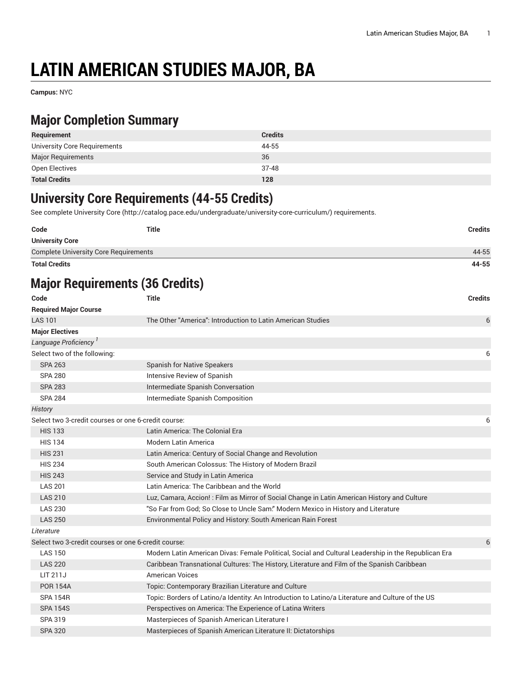# **LATIN AMERICAN STUDIES MAJOR, BA**

**Campus:** NYC

### **Major Completion Summary**

| Requirement                  | <b>Credits</b> |
|------------------------------|----------------|
| University Core Requirements | 44-55          |
| <b>Major Requirements</b>    | 36             |
| Open Electives               | $37 - 48$      |
| <b>Total Credits</b>         | 128            |

#### **University Core Requirements (44-55 Credits)**

See complete [University](http://catalog.pace.edu/undergraduate/university-core-curriculum/) Core (<http://catalog.pace.edu/undergraduate/university-core-curriculum/>) requirements.

| Code                                         | <b>Title</b> | <b>Credits</b> |
|----------------------------------------------|--------------|----------------|
| <b>University Core</b>                       |              |                |
| <b>Complete University Core Requirements</b> |              | 44-55          |
| <b>Total Credits</b>                         |              | 44-55          |

## **Major Requirements (36 Credits)**

| Code                                                | <b>Title</b>                                                                                        | <b>Credits</b> |
|-----------------------------------------------------|-----------------------------------------------------------------------------------------------------|----------------|
| <b>Required Major Course</b>                        |                                                                                                     |                |
| <b>LAS 101</b>                                      | The Other "America": Introduction to Latin American Studies                                         | 6              |
| <b>Major Electives</b>                              |                                                                                                     |                |
| Language Proficiency <sup>1</sup>                   |                                                                                                     |                |
| Select two of the following:                        |                                                                                                     | 6              |
| <b>SPA 263</b>                                      | <b>Spanish for Native Speakers</b>                                                                  |                |
| <b>SPA 280</b>                                      | Intensive Review of Spanish                                                                         |                |
| <b>SPA 283</b>                                      | Intermediate Spanish Conversation                                                                   |                |
| <b>SPA 284</b>                                      | Intermediate Spanish Composition                                                                    |                |
| History                                             |                                                                                                     |                |
| Select two 3-credit courses or one 6-credit course: |                                                                                                     | 6              |
| <b>HIS 133</b>                                      | Latin America: The Colonial Era                                                                     |                |
| <b>HIS 134</b>                                      | Modern Latin America                                                                                |                |
| <b>HIS 231</b>                                      | Latin America: Century of Social Change and Revolution                                              |                |
| <b>HIS 234</b>                                      | South American Colossus: The History of Modern Brazil                                               |                |
| <b>HIS 243</b>                                      | Service and Study in Latin America                                                                  |                |
| <b>LAS 201</b>                                      | Latin America: The Caribbean and the World                                                          |                |
| <b>LAS 210</b>                                      | Luz, Camara, Accion! : Film as Mirror of Social Change in Latin American History and Culture        |                |
| <b>LAS 230</b>                                      | "So Far from God; So Close to Uncle Sam." Modern Mexico in History and Literature                   |                |
| <b>LAS 250</b>                                      | Environmental Policy and History: South American Rain Forest                                        |                |
| Literature                                          |                                                                                                     |                |
| Select two 3-credit courses or one 6-credit course: |                                                                                                     | 6              |
| <b>LAS 150</b>                                      | Modern Latin American Divas: Female Political, Social and Cultural Leadership in the Republican Era |                |
| <b>LAS 220</b>                                      | Caribbean Transnational Cultures: The History, Literature and Film of the Spanish Caribbean         |                |
| LIT 211J                                            | <b>American Voices</b>                                                                              |                |
| <b>POR 154A</b>                                     | Topic: Contemporary Brazilian Literature and Culture                                                |                |
| <b>SPA 154R</b>                                     | Topic: Borders of Latino/a Identity: An Introduction to Latino/a Literature and Culture of the US   |                |
| <b>SPA 154S</b>                                     | Perspectives on America: The Experience of Latina Writers                                           |                |
| SPA 319                                             | Masterpieces of Spanish American Literature I                                                       |                |
| <b>SPA 320</b>                                      | Masterpieces of Spanish American Literature II: Dictatorships                                       |                |